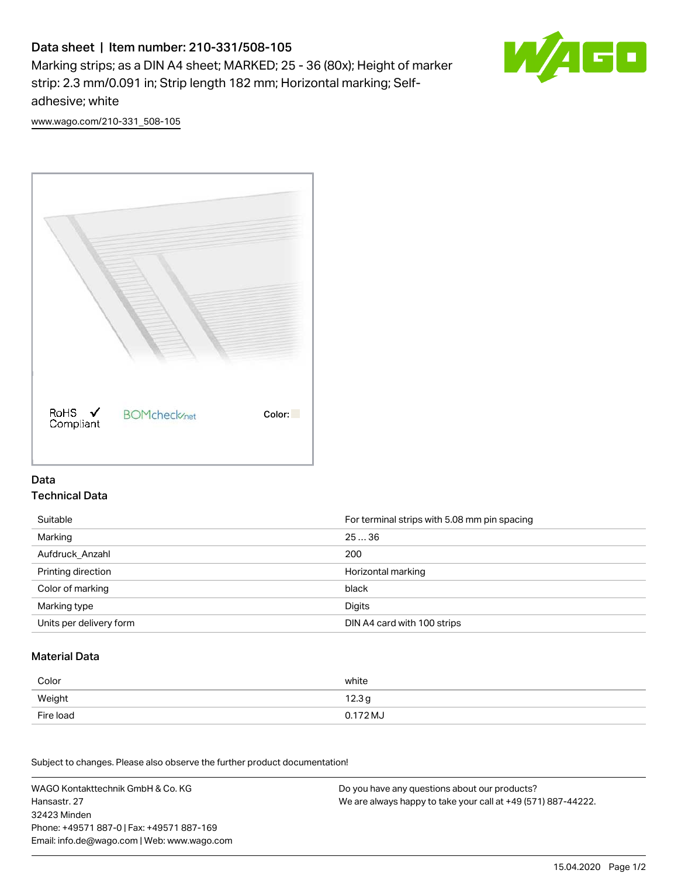# Data sheet | Item number: 210-331/508-105

Marking strips; as a DIN A4 sheet; MARKED; 25 - 36 (80x); Height of marker strip: 2.3 mm/0.091 in; Strip length 182 mm; Horizontal marking; Selfadhesive; white



[www.wago.com/210-331\\_508-105](http://www.wago.com/210-331_508-105)



### Data Technical Data

| Suitable                | For terminal strips with 5.08 mm pin spacing |
|-------------------------|----------------------------------------------|
| Marking                 | 2536                                         |
| Aufdruck Anzahl         | 200                                          |
| Printing direction      | Horizontal marking                           |
| Color of marking        | black                                        |
| Marking type            | Digits                                       |
| Units per delivery form | DIN A4 card with 100 strips                  |

#### Material Data

| Color     | white             |
|-----------|-------------------|
| Weight    | 12.3 <sub>g</sub> |
| Fire load | 0.172 MJ          |

Subject to changes. Please also observe the further product documentation!

WAGO Kontakttechnik GmbH & Co. KG Hansastr. 27 32423 Minden Phone: +49571 887-0 | Fax: +49571 887-169 Email: info.de@wago.com | Web: www.wago.com Do you have any questions about our products? We are always happy to take your call at +49 (571) 887-44222.